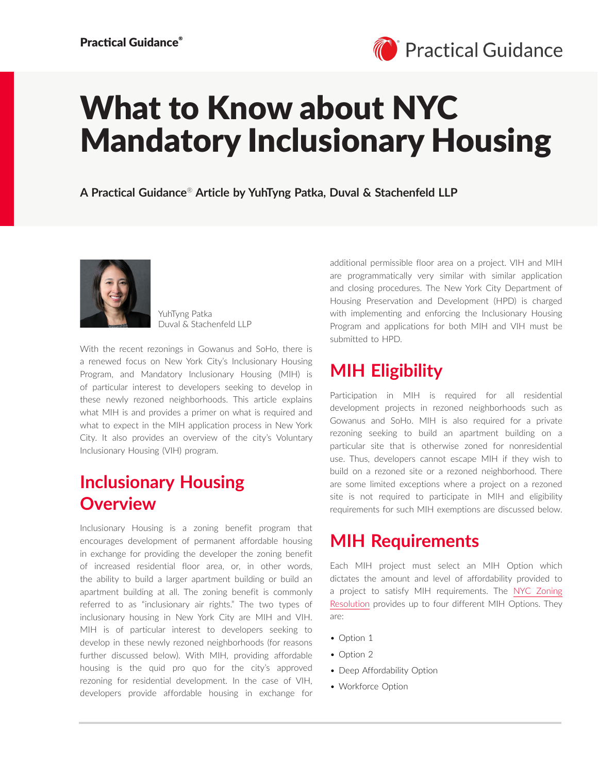

# What to Know about NYC Mandatory Inclusionary Housing

**A Practical Guidance**® **Article by YuhTyng Patka, Duval & Stachenfeld LLP**



YuhTyng Patka Duval & Stachenfeld LLP

With the recent rezonings in Gowanus and SoHo, there is a renewed focus on New York City's Inclusionary Housing Program, and Mandatory Inclusionary Housing (MIH) is of particular interest to developers seeking to develop in these newly rezoned neighborhoods. This article explains what MIH is and provides a primer on what is required and what to expect in the MIH application process in New York City. It also provides an overview of the city's Voluntary Inclusionary Housing (VIH) program.

### **Inclusionary Housing Overview**

Inclusionary Housing is a zoning benefit program that encourages development of permanent affordable housing in exchange for providing the developer the zoning benefit of increased residential floor area, or, in other words, the ability to build a larger apartment building or build an apartment building at all. The zoning benefit is commonly referred to as "inclusionary air rights." The two types of inclusionary housing in New York City are MIH and VIH. MIH is of particular interest to developers seeking to develop in these newly rezoned neighborhoods (for reasons further discussed below). With MIH, providing affordable housing is the quid pro quo for the city's approved rezoning for residential development. In the case of VIH, developers provide affordable housing in exchange for additional permissible floor area on a project. VIH and MIH are programmatically very similar with similar application and closing procedures. The New York City Department of Housing Preservation and Development (HPD) is charged with implementing and enforcing the Inclusionary Housing Program and applications for both MIH and VIH must be submitted to HPD.

# **MIH Eligibility**

Participation in MIH is required for all residential development projects in rezoned neighborhoods such as Gowanus and SoHo. MIH is also required for a private rezoning seeking to build an apartment building on a particular site that is otherwise zoned for nonresidential use. Thus, developers cannot escape MIH if they wish to build on a rezoned site or a rezoned neighborhood. There are some limited exceptions where a project on a rezoned site is not required to participate in MIH and eligibility requirements for such MIH exemptions are discussed below.

#### **MIH Requirements**

Each MIH project must select an MIH Option which dictates the amount and level of affordability provided to a project to satisfy MIH requirements. The [NYC Zoning](https://zr.planning.nyc.gov/)  [Resolution](https://zr.planning.nyc.gov/) provides up to four different MIH Options. They are:

- Option 1
- Option 2
- Deep Affordability Option
- Workforce Option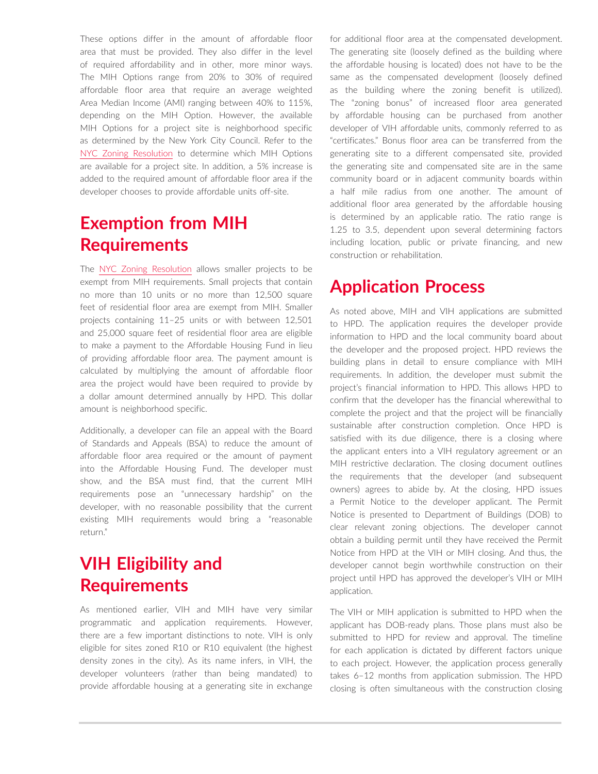These options differ in the amount of affordable floor area that must be provided. They also differ in the level of required affordability and in other, more minor ways. The MIH Options range from 20% to 30% of required affordable floor area that require an average weighted Area Median Income (AMI) ranging between 40% to 115%, depending on the MIH Option. However, the available MIH Options for a project site is neighborhood specific as determined by the New York City Council. Refer to the [NYC Zoning Resolution](https://zr.planning.nyc.gov/) to determine which MIH Options are available for a project site. In addition, a 5% increase is added to the required amount of affordable floor area if the developer chooses to provide affordable units off-site.

#### **Exemption from MIH Requirements**

The [NYC Zoning Resolution](https://zr.planning.nyc.gov/) allows smaller projects to be exempt from MIH requirements. Small projects that contain no more than 10 units or no more than 12,500 square feet of residential floor area are exempt from MIH. Smaller projects containing 11–25 units or with between 12,501 and 25,000 square feet of residential floor area are eligible to make a payment to the Affordable Housing Fund in lieu of providing affordable floor area. The payment amount is calculated by multiplying the amount of affordable floor area the project would have been required to provide by a dollar amount determined annually by HPD. This dollar amount is neighborhood specific.

Additionally, a developer can file an appeal with the Board of Standards and Appeals (BSA) to reduce the amount of affordable floor area required or the amount of payment into the Affordable Housing Fund. The developer must show, and the BSA must find, that the current MIH requirements pose an "unnecessary hardship" on the developer, with no reasonable possibility that the current existing MIH requirements would bring a "reasonable return."

## **VIH Eligibility and Requirements**

As mentioned earlier, VIH and MIH have very similar programmatic and application requirements. However, there are a few important distinctions to note. VIH is only eligible for sites zoned R10 or R10 equivalent (the highest density zones in the city). As its name infers, in VIH, the developer volunteers (rather than being mandated) to provide affordable housing at a generating site in exchange

for additional floor area at the compensated development. The generating site (loosely defined as the building where the affordable housing is located) does not have to be the same as the compensated development (loosely defined as the building where the zoning benefit is utilized). The "zoning bonus" of increased floor area generated by affordable housing can be purchased from another developer of VIH affordable units, commonly referred to as "certificates." Bonus floor area can be transferred from the generating site to a different compensated site, provided the generating site and compensated site are in the same community board or in adjacent community boards within a half mile radius from one another. The amount of additional floor area generated by the affordable housing is determined by an applicable ratio. The ratio range is 1.25 to 3.5, dependent upon several determining factors including location, public or private financing, and new construction or rehabilitation.

#### **Application Process**

As noted above, MIH and VIH applications are submitted to HPD. The application requires the developer provide information to HPD and the local community board about the developer and the proposed project. HPD reviews the building plans in detail to ensure compliance with MIH requirements. In addition, the developer must submit the project's financial information to HPD. This allows HPD to confirm that the developer has the financial wherewithal to complete the project and that the project will be financially sustainable after construction completion. Once HPD is satisfied with its due diligence, there is a closing where the applicant enters into a VIH regulatory agreement or an MIH restrictive declaration. The closing document outlines the requirements that the developer (and subsequent owners) agrees to abide by. At the closing, HPD issues a Permit Notice to the developer applicant. The Permit Notice is presented to Department of Buildings (DOB) to clear relevant zoning objections. The developer cannot obtain a building permit until they have received the Permit Notice from HPD at the VIH or MIH closing. And thus, the developer cannot begin worthwhile construction on their project until HPD has approved the developer's VIH or MIH application.

The VIH or MIH application is submitted to HPD when the applicant has DOB-ready plans. Those plans must also be submitted to HPD for review and approval. The timeline for each application is dictated by different factors unique to each project. However, the application process generally takes 6–12 months from application submission. The HPD closing is often simultaneous with the construction closing